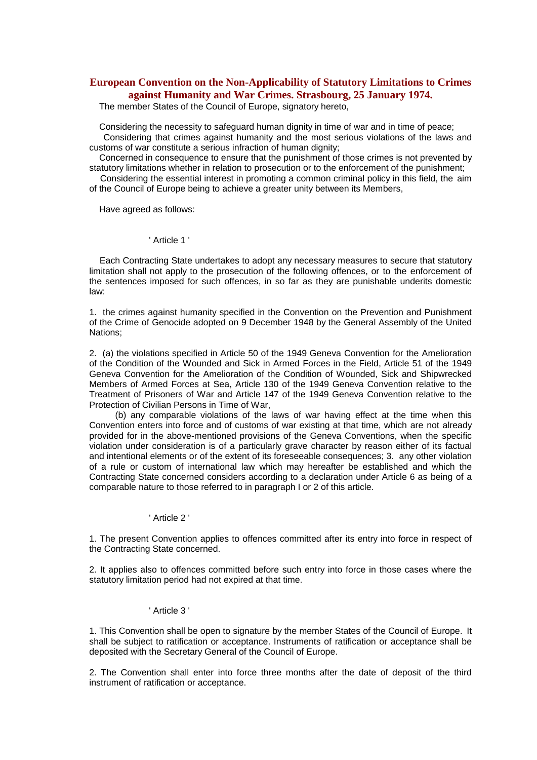# **European Convention on the Non-Applicability of Statutory Limitations to Crimes against Humanity and War Crimes. Strasbourg, 25 January 1974.**

The member States of the Council of Europe, signatory hereto,

Considering the necessity to safeguard human dignity in time of war and in time of peace; Considering that crimes against humanity and the most serious violations of the laws and customs of war constitute a serious infraction of human dignity;

Concerned in consequence to ensure that the punishment of those crimes is not prevented by statutory limitations whether in relation to prosecution or to the enforcement of the punishment;

Considering the essential interest in promoting a common criminal policy in this field, the aim of the Council of Europe being to achieve a greater unity between its Members,

Have agreed as follows:

### ' Article 1 '

Each Contracting State undertakes to adopt any necessary measures to secure that statutory limitation shall not apply to the prosecution of the following offences, or to the enforcement of the sentences imposed for such offences, in so far as they are punishable underits domestic law:

1. the crimes against humanity specified in the Convention on the Prevention and Punishment of the Crime of Genocide adopted on 9 December 1948 by the General Assembly of the United Nations;

2. (a) the violations specified in Article 50 of the 1949 Geneva Convention for the Amelioration of the Condition of the Wounded and Sick in Armed Forces in the Field, Article 51 of the 1949 Geneva Convention for the Amelioration of the Condition of Wounded, Sick and Shipwrecked Members of Armed Forces at Sea, Article 130 of the 1949 Geneva Convention relative to the Treatment of Prisoners of War and Article 147 of the 1949 Geneva Convention relative to the Protection of Civilian Persons in Time of War,

(b) any comparable violations of the laws of war having effect at the time when this Convention enters into force and of customs of war existing at that time, which are not already provided for in the above-mentioned provisions of the Geneva Conventions, when the specific violation under consideration is of a particularly grave character by reason either of its factual and intentional elements or of the extent of its foreseeable consequences; 3. any other violation of a rule or custom of international law which may hereafter be established and which the Contracting State concerned considers according to a declaration under Article 6 as being of a comparable nature to those referred to in paragraph I or 2 of this article.

#### ' Article 2 '

1. The present Convention applies to offences committed after its entry into force in respect of the Contracting State concerned.

2. It applies also to offences committed before such entry into force in those cases where the statutory limitation period had not expired at that time.

#### ' Article 3 '

1. This Convention shall be open to signature by the member States of the Council of Europe. It shall be subject to ratification or acceptance. Instruments of ratification or acceptance shall be deposited with the Secretary General of the Council of Europe.

2. The Convention shall enter into force three months after the date of deposit of the third instrument of ratification or acceptance.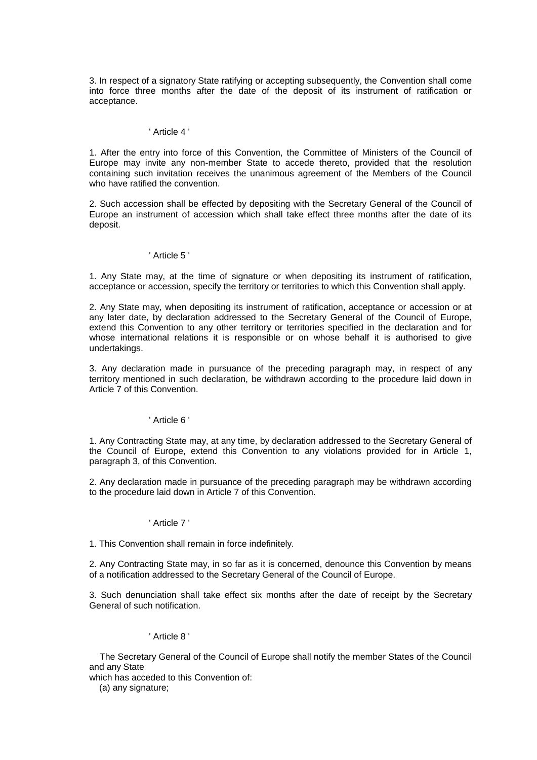3. In respect of a signatory State ratifying or accepting subsequently, the Convention shall come into force three months after the date of the deposit of its instrument of ratification or acceptance.

#### ' Article 4 '

1. After the entry into force of this Convention, the Committee of Ministers of the Council of Europe may invite any non-member State to accede thereto, provided that the resolution containing such invitation receives the unanimous agreement of the Members of the Council who have ratified the convention.

2. Such accession shall be effected by depositing with the Secretary General of the Council of Europe an instrument of accession which shall take effect three months after the date of its deposit.

# ' Article 5 '

1. Any State may, at the time of signature or when depositing its instrument of ratification, acceptance or accession, specify the territory or territories to which this Convention shall apply.

2. Any State may, when depositing its instrument of ratification, acceptance or accession or at any later date, by declaration addressed to the Secretary General of the Council of Europe, extend this Convention to any other territory or territories specified in the declaration and for whose international relations it is responsible or on whose behalf it is authorised to give undertakings.

3. Any declaration made in pursuance of the preceding paragraph may, in respect of any territory mentioned in such declaration, be withdrawn according to the procedure laid down in Article 7 of this Convention.

# ' Article 6 '

1. Any Contracting State may, at any time, by declaration addressed to the Secretary General of the Council of Europe, extend this Convention to any violations provided for in Article 1, paragraph 3, of this Convention.

2. Any declaration made in pursuance of the preceding paragraph may be withdrawn according to the procedure laid down in Article 7 of this Convention.

# ' Article 7 '

1. This Convention shall remain in force indefinitely.

2. Any Contracting State may, in so far as it is concerned, denounce this Convention by means of a notification addressed to the Secretary General of the Council of Europe.

3. Such denunciation shall take effect six months after the date of receipt by the Secretary General of such notification.

# ' Article 8 '

The Secretary General of the Council of Europe shall notify the member States of the Council and any State

which has acceded to this Convention of:

(a) any signature;